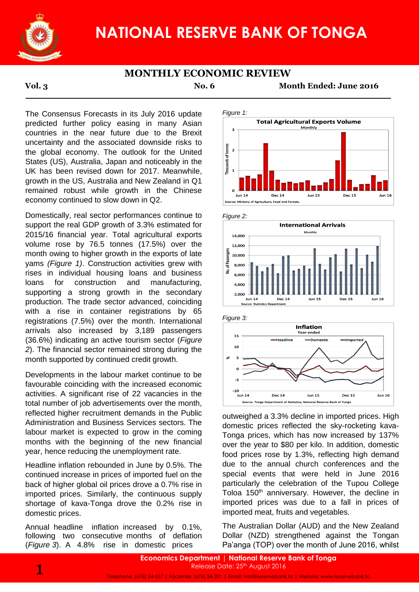

# **NATIONAL RESERVE BANK OF TONGA**

## **MONTHLY ECONOMIC REVIEW**

**Vol. 3 No. 6 Month Ended: June 2016**

The Consensus Forecasts in its July 2016 update predicted further policy easing in many Asian countries in the near future due to the Brexit uncertainty and the associated downside risks to the global economy. The outlook for the United States (US), Australia, Japan and noticeably in the UK has been revised down for 2017. Meanwhile, growth in the US, Australia and New Zealand in Q1 remained robust while growth in the Chinese economy continued to slow down in Q2.

Domestically, real sector performances continue to support the real GDP growth of 3.3% estimated for 2015/16 financial year. Total agricultural exports volume rose by 76.5 tonnes (17.5%) over the month owing to higher growth in the exports of late yams *(Figure 1)*. Construction activities grew with rises in individual housing loans and business loans for construction and manufacturing, supporting a strong growth in the secondary production. The trade sector advanced, coinciding with a rise in container registrations by 65 registrations (7.5%) over the month. International arrivals also increased by 3,189 passengers (36.6%) indicating an active tourism sector (*Figure 2*). The financial sector remained strong during the month supported by continued credit growth.

Developments in the labour market continue to be favourable coinciding with the increased economic activities. A significant rise of 22 vacancies in the total number of job advertisements over the month, reflected higher recruitment demands in the Public Administration and Business Services sectors. The labour market is expected to grow in the coming months with the beginning of the new financial year, hence reducing the unemployment rate.

Headline inflation rebounded in June by 0.5%. The continued increase in prices of imported fuel on the back of higher global oil prices drove a 0.7% rise in imported prices. Similarly, the continuous supply shortage of kava-Tonga drove the 0.2% rise in domestic prices.

Annual headline inflation increased by 0.1%, following two consecutive months of deflation (*Figure 3*). A 4.8% rise in domestic prices









outweighed a 3.3% decline in imported prices. High domestic prices reflected the sky-rocketing kava-Tonga prices, which has now increased by 137% over the year to \$80 per kilo. In addition, domestic food prices rose by 1.3%, reflecting high demand due to the annual church conferences and the special events that were held in June 2016 particularly the celebration of the Tupou College Toloa 150<sup>th</sup> anniversary. However, the decline in imported prices was due to a fall in prices of imported meat, fruits and vegetables.

The Australian Dollar (AUD) and the New Zealand Dollar (NZD) strengthened against the Tongan Pa'anga (TOP) over the month of June 2016, whilst

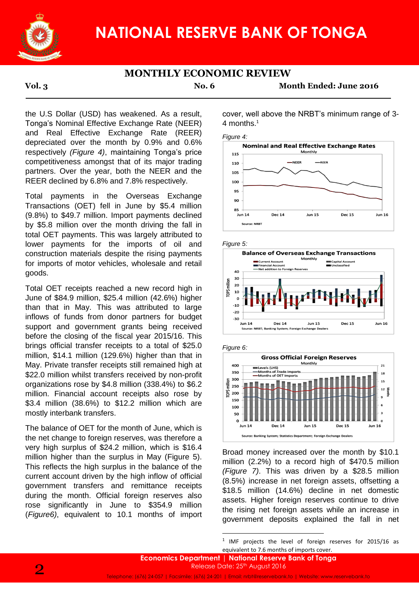

## **MONTHLY ECONOMIC REVIEW**

**Vol. 3 No. 6 Month Ended: June 2016**

the U.S Dollar (USD) has weakened. As a result, Tonga's Nominal Effective Exchange Rate (NEER) and Real Effective Exchange Rate (REER) depreciated over the month by 0.9% and 0.6% respectively *(Figure 4)*, maintaining Tonga's price competitiveness amongst that of its major trading partners. Over the year, both the NEER and the REER declined by 6.8% and 7.8% respectively.

Total payments in the Overseas Exchange Transactions (OET) fell in June by \$5.4 million (9.8%) to \$49.7 million. Import payments declined by \$5.8 million over the month driving the fall in total OET payments. This was largely attributed to lower payments for the imports of oil and construction materials despite the rising payments for imports of motor vehicles, wholesale and retail goods.

Total OET receipts reached a new record high in June of \$84.9 million, \$25.4 million (42.6%) higher than that in May. This was attributed to large inflows of funds from donor partners for budget support and government grants being received before the closing of the fiscal year 2015/16. This brings official transfer receipts to a total of \$25.0 million, \$14.1 million (129.6%) higher than that in May. Private transfer receipts still remained high at \$22.0 million whilst transfers received by non-profit organizations rose by \$4.8 million (338.4%) to \$6.2 million. Financial account receipts also rose by \$3.4 million (38.6%) to \$12.2 million which are mostly interbank transfers.

The balance of OET for the month of June, which is the net change to foreign reserves, was therefore a very high surplus of \$24.2 million, which is \$16.4 million higher than the surplus in May (Figure 5). This reflects the high surplus in the balance of the current account driven by the high inflow of official government transfers and remittance receipts during the month. Official foreign reserves also rose significantly in June to \$354.9 million (*Figure6)*, equivalent to 10.1 months of import cover, well above the NRBT's minimum range of 3- 4 months.<sup>1</sup>

*Figure 4:*







*Figure 6:*



Broad money increased over the month by \$10.1 million (2.2%) to a record high of \$470.5 million *(Figure 7)*. This was driven by a \$28.5 million (8.5%) increase in net foreign assets, offsetting a \$18.5 million (14.6%) decline in net domestic assets. Higher foreign reserves continue to drive the rising net foreign assets while an increase in government deposits explained the fall in net

<sup>1</sup> IMF projects the level of foreign reserves for 2015/16 as equivalent to 7.6 months of imports cover.

1